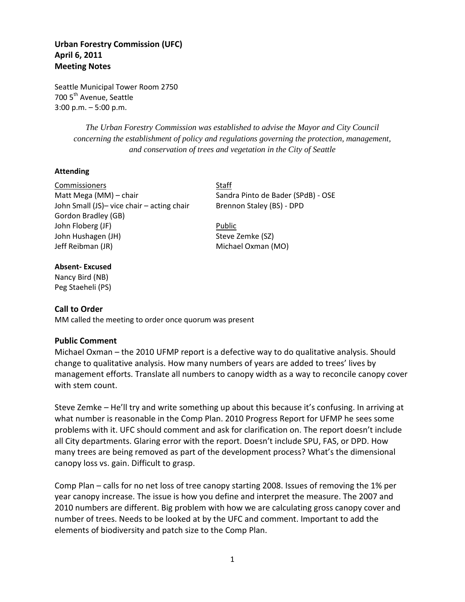# **Urban Forestry Commission (UFC) April 6, 2011 Meeting Notes**

Seattle Municipal Tower Room 2750 700 5<sup>th</sup> Avenue, Seattle 3:00 p.m. – 5:00 p.m.

> *The Urban Forestry Commission was established to advise the Mayor and City Council concerning the establishment of policy and regulations governing the protection, management, and conservation of trees and vegetation in the City of Seattle*

### **Attending**

Commissioners Staff Matt Mega (MM) – chair Sandra Pinto de Bader (SPdB) - OSE John Small (JS)- vice chair - acting chair Brennon Staley (BS) - DPD Gordon Bradley (GB) John Floberg (JF) **Public** John Hushagen (JH) Steve Zemke (SZ) Jeff Reibman (JR) Michael Oxman (MO)

### **Absent- Excused**

Nancy Bird (NB) Peg Staeheli (PS)

## **Call to Order**

MM called the meeting to order once quorum was present

## **Public Comment**

Michael Oxman – the 2010 UFMP report is a defective way to do qualitative analysis. Should change to qualitative analysis. How many numbers of years are added to trees' lives by management efforts. Translate all numbers to canopy width as a way to reconcile canopy cover with stem count.

Steve Zemke – He'll try and write something up about this because it's confusing. In arriving at what number is reasonable in the Comp Plan. 2010 Progress Report for UFMP he sees some problems with it. UFC should comment and ask for clarification on. The report doesn't include all City departments. Glaring error with the report. Doesn't include SPU, FAS, or DPD. How many trees are being removed as part of the development process? What's the dimensional canopy loss vs. gain. Difficult to grasp.

Comp Plan – calls for no net loss of tree canopy starting 2008. Issues of removing the 1% per year canopy increase. The issue is how you define and interpret the measure. The 2007 and 2010 numbers are different. Big problem with how we are calculating gross canopy cover and number of trees. Needs to be looked at by the UFC and comment. Important to add the elements of biodiversity and patch size to the Comp Plan.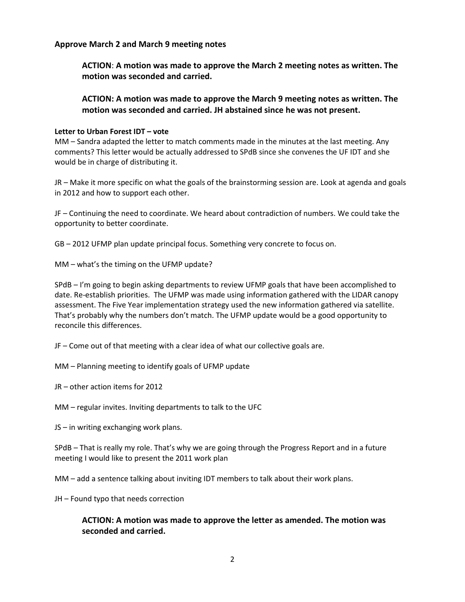**Approve March 2 and March 9 meeting notes**

**ACTION**: **A motion was made to approve the March 2 meeting notes as written. The motion was seconded and carried.**

**ACTION: A motion was made to approve the March 9 meeting notes as written. The motion was seconded and carried. JH abstained since he was not present.**

### **Letter to Urban Forest IDT – vote**

MM – Sandra adapted the letter to match comments made in the minutes at the last meeting. Any comments? This letter would be actually addressed to SPdB since she convenes the UF IDT and she would be in charge of distributing it.

JR – Make it more specific on what the goals of the brainstorming session are. Look at agenda and goals in 2012 and how to support each other.

JF – Continuing the need to coordinate. We heard about contradiction of numbers. We could take the opportunity to better coordinate.

GB – 2012 UFMP plan update principal focus. Something very concrete to focus on.

MM – what's the timing on the UFMP update?

SPdB – I'm going to begin asking departments to review UFMP goals that have been accomplished to date. Re-establish priorities. The UFMP was made using information gathered with the LIDAR canopy assessment. The Five Year implementation strategy used the new information gathered via satellite. That's probably why the numbers don't match. The UFMP update would be a good opportunity to reconcile this differences.

JF – Come out of that meeting with a clear idea of what our collective goals are.

MM – Planning meeting to identify goals of UFMP update

JR – other action items for 2012

MM – regular invites. Inviting departments to talk to the UFC

JS – in writing exchanging work plans.

SPdB – That is really my role. That's why we are going through the Progress Report and in a future meeting I would like to present the 2011 work plan

MM – add a sentence talking about inviting IDT members to talk about their work plans.

JH – Found typo that needs correction

## **ACTION: A motion was made to approve the letter as amended. The motion was seconded and carried.**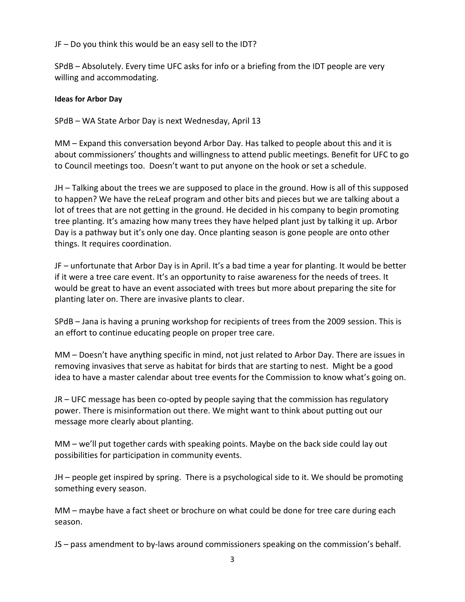JF – Do you think this would be an easy sell to the IDT?

SPdB – Absolutely. Every time UFC asks for info or a briefing from the IDT people are very willing and accommodating.

## **Ideas for Arbor Day**

SPdB – WA State Arbor Day is next Wednesday, April 13

MM – Expand this conversation beyond Arbor Day. Has talked to people about this and it is about commissioners' thoughts and willingness to attend public meetings. Benefit for UFC to go to Council meetings too. Doesn't want to put anyone on the hook or set a schedule.

JH – Talking about the trees we are supposed to place in the ground. How is all of this supposed to happen? We have the reLeaf program and other bits and pieces but we are talking about a lot of trees that are not getting in the ground. He decided in his company to begin promoting tree planting. It's amazing how many trees they have helped plant just by talking it up. Arbor Day is a pathway but it's only one day. Once planting season is gone people are onto other things. It requires coordination.

JF – unfortunate that Arbor Day is in April. It's a bad time a year for planting. It would be better if it were a tree care event. It's an opportunity to raise awareness for the needs of trees. It would be great to have an event associated with trees but more about preparing the site for planting later on. There are invasive plants to clear.

SPdB – Jana is having a pruning workshop for recipients of trees from the 2009 session. This is an effort to continue educating people on proper tree care.

MM – Doesn't have anything specific in mind, not just related to Arbor Day. There are issues in removing invasives that serve as habitat for birds that are starting to nest. Might be a good idea to have a master calendar about tree events for the Commission to know what's going on.

JR – UFC message has been co-opted by people saying that the commission has regulatory power. There is misinformation out there. We might want to think about putting out our message more clearly about planting.

MM – we'll put together cards with speaking points. Maybe on the back side could lay out possibilities for participation in community events.

JH – people get inspired by spring. There is a psychological side to it. We should be promoting something every season.

MM – maybe have a fact sheet or brochure on what could be done for tree care during each season.

JS – pass amendment to by-laws around commissioners speaking on the commission's behalf.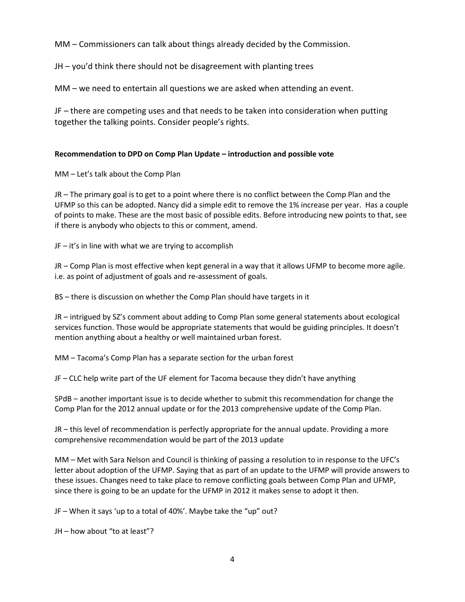MM – Commissioners can talk about things already decided by the Commission.

JH – you'd think there should not be disagreement with planting trees

MM – we need to entertain all questions we are asked when attending an event.

JF – there are competing uses and that needs to be taken into consideration when putting together the talking points. Consider people's rights.

### **Recommendation to DPD on Comp Plan Update – introduction and possible vote**

MM – Let's talk about the Comp Plan

JR – The primary goal is to get to a point where there is no conflict between the Comp Plan and the UFMP so this can be adopted. Nancy did a simple edit to remove the 1% increase per year. Has a couple of points to make. These are the most basic of possible edits. Before introducing new points to that, see if there is anybody who objects to this or comment, amend.

JF – it's in line with what we are trying to accomplish

JR – Comp Plan is most effective when kept general in a way that it allows UFMP to become more agile. i.e. as point of adjustment of goals and re-assessment of goals.

BS – there is discussion on whether the Comp Plan should have targets in it

JR – intrigued by SZ's comment about adding to Comp Plan some general statements about ecological services function. Those would be appropriate statements that would be guiding principles. It doesn't mention anything about a healthy or well maintained urban forest.

MM – Tacoma's Comp Plan has a separate section for the urban forest

JF – CLC help write part of the UF element for Tacoma because they didn't have anything

SPdB – another important issue is to decide whether to submit this recommendation for change the Comp Plan for the 2012 annual update or for the 2013 comprehensive update of the Comp Plan.

JR – this level of recommendation is perfectly appropriate for the annual update. Providing a more comprehensive recommendation would be part of the 2013 update

MM – Met with Sara Nelson and Council is thinking of passing a resolution to in response to the UFC's letter about adoption of the UFMP. Saying that as part of an update to the UFMP will provide answers to these issues. Changes need to take place to remove conflicting goals between Comp Plan and UFMP, since there is going to be an update for the UFMP in 2012 it makes sense to adopt it then.

JF – When it says 'up to a total of 40%'. Maybe take the "up" out?

JH – how about "to at least"?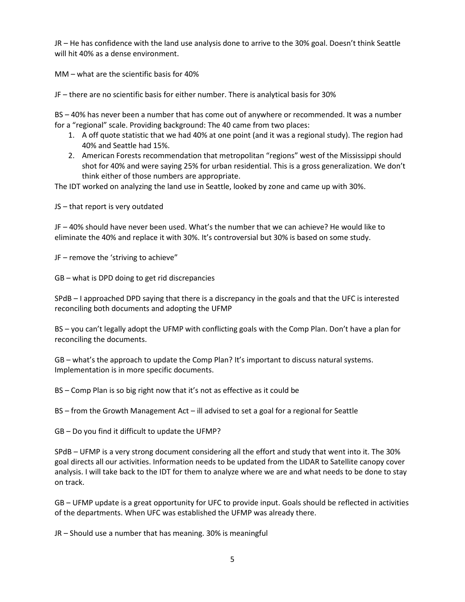JR – He has confidence with the land use analysis done to arrive to the 30% goal. Doesn't think Seattle will hit 40% as a dense environment.

MM – what are the scientific basis for 40%

JF – there are no scientific basis for either number. There is analytical basis for 30%

BS – 40% has never been a number that has come out of anywhere or recommended. It was a number for a "regional" scale. Providing background: The 40 came from two places:

- 1. A off quote statistic that we had 40% at one point (and it was a regional study). The region had 40% and Seattle had 15%.
- 2. American Forests recommendation that metropolitan "regions" west of the Mississippi should shot for 40% and were saying 25% for urban residential. This is a gross generalization. We don't think either of those numbers are appropriate.

The IDT worked on analyzing the land use in Seattle, looked by zone and came up with 30%.

JS – that report is very outdated

JF – 40% should have never been used. What's the number that we can achieve? He would like to eliminate the 40% and replace it with 30%. It's controversial but 30% is based on some study.

JF – remove the 'striving to achieve"

GB – what is DPD doing to get rid discrepancies

SPdB – I approached DPD saying that there is a discrepancy in the goals and that the UFC is interested reconciling both documents and adopting the UFMP

BS – you can't legally adopt the UFMP with conflicting goals with the Comp Plan. Don't have a plan for reconciling the documents.

GB – what's the approach to update the Comp Plan? It's important to discuss natural systems. Implementation is in more specific documents.

BS – Comp Plan is so big right now that it's not as effective as it could be

BS – from the Growth Management Act – ill advised to set a goal for a regional for Seattle

GB – Do you find it difficult to update the UFMP?

SPdB – UFMP is a very strong document considering all the effort and study that went into it. The 30% goal directs all our activities. Information needs to be updated from the LIDAR to Satellite canopy cover analysis. I will take back to the IDT for them to analyze where we are and what needs to be done to stay on track.

GB – UFMP update is a great opportunity for UFC to provide input. Goals should be reflected in activities of the departments. When UFC was established the UFMP was already there.

JR – Should use a number that has meaning. 30% is meaningful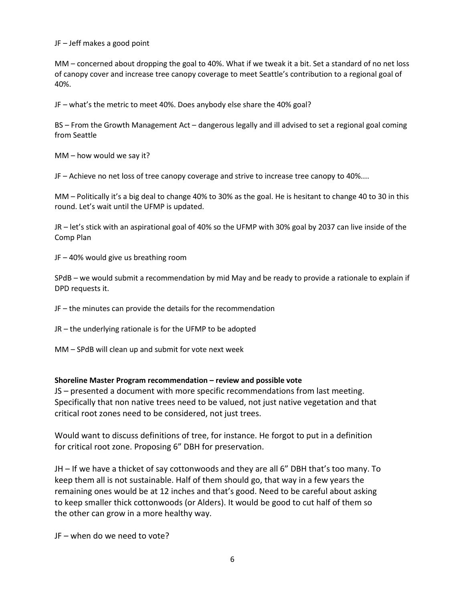JF – Jeff makes a good point

MM – concerned about dropping the goal to 40%. What if we tweak it a bit. Set a standard of no net loss of canopy cover and increase tree canopy coverage to meet Seattle's contribution to a regional goal of 40%.

JF – what's the metric to meet 40%. Does anybody else share the 40% goal?

BS – From the Growth Management Act – dangerous legally and ill advised to set a regional goal coming from Seattle

MM – how would we say it?

JF – Achieve no net loss of tree canopy coverage and strive to increase tree canopy to 40%....

MM – Politically it's a big deal to change 40% to 30% as the goal. He is hesitant to change 40 to 30 in this round. Let's wait until the UFMP is updated.

JR – let's stick with an aspirational goal of 40% so the UFMP with 30% goal by 2037 can live inside of the Comp Plan

JF – 40% would give us breathing room

SPdB – we would submit a recommendation by mid May and be ready to provide a rationale to explain if DPD requests it.

JF – the minutes can provide the details for the recommendation

JR – the underlying rationale is for the UFMP to be adopted

MM – SPdB will clean up and submit for vote next week

### **Shoreline Master Program recommendation – review and possible vote**

JS – presented a document with more specific recommendations from last meeting. Specifically that non native trees need to be valued, not just native vegetation and that critical root zones need to be considered, not just trees.

Would want to discuss definitions of tree, for instance. He forgot to put in a definition for critical root zone. Proposing 6" DBH for preservation.

JH – If we have a thicket of say cottonwoods and they are all 6" DBH that's too many. To keep them all is not sustainable. Half of them should go, that way in a few years the remaining ones would be at 12 inches and that's good. Need to be careful about asking to keep smaller thick cottonwoods (or Alders). It would be good to cut half of them so the other can grow in a more healthy way.

JF – when do we need to vote?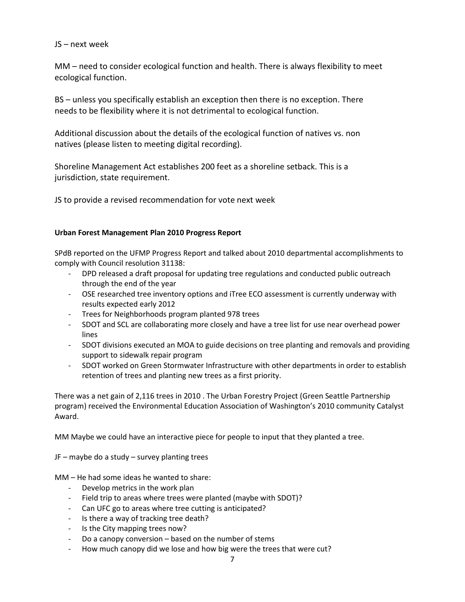## JS – next week

MM – need to consider ecological function and health. There is always flexibility to meet ecological function.

BS – unless you specifically establish an exception then there is no exception. There needs to be flexibility where it is not detrimental to ecological function.

Additional discussion about the details of the ecological function of natives vs. non natives (please listen to meeting digital recording).

Shoreline Management Act establishes 200 feet as a shoreline setback. This is a jurisdiction, state requirement.

JS to provide a revised recommendation for vote next week

### **Urban Forest Management Plan 2010 Progress Report**

SPdB reported on the UFMP Progress Report and talked about 2010 departmental accomplishments to comply with Council resolution 31138:

- DPD released a draft proposal for updating tree regulations and conducted public outreach through the end of the year
- OSE researched tree inventory options and iTree ECO assessment is currently underway with results expected early 2012
- Trees for Neighborhoods program planted 978 trees
- SDOT and SCL are collaborating more closely and have a tree list for use near overhead power lines
- SDOT divisions executed an MOA to guide decisions on tree planting and removals and providing support to sidewalk repair program
- SDOT worked on Green Stormwater Infrastructure with other departments in order to establish retention of trees and planting new trees as a first priority.

There was a net gain of 2,116 trees in 2010 . The Urban Forestry Project (Green Seattle Partnership program) received the Environmental Education Association of Washington's 2010 community Catalyst Award.

MM Maybe we could have an interactive piece for people to input that they planted a tree.

JF – maybe do a study – survey planting trees

MM – He had some ideas he wanted to share:

- Develop metrics in the work plan
- Field trip to areas where trees were planted (maybe with SDOT)?
- Can UFC go to areas where tree cutting is anticipated?
- Is there a way of tracking tree death?
- Is the City mapping trees now?
- Do a canopy conversion based on the number of stems
- How much canopy did we lose and how big were the trees that were cut?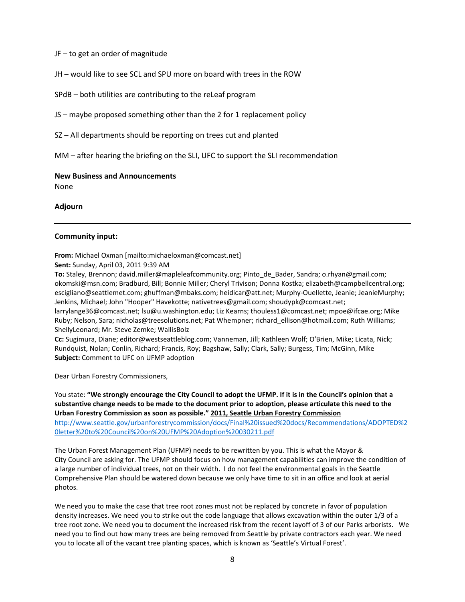#### JF – to get an order of magnitude

JH – would like to see SCL and SPU more on board with trees in the ROW

SPdB – both utilities are contributing to the reLeaf program

JS – maybe proposed something other than the 2 for 1 replacement policy

SZ – All departments should be reporting on trees cut and planted

MM – after hearing the briefing on the SLI, UFC to support the SLI recommendation

#### **New Business and Announcements**

None

### **Adjourn**

### **Community input:**

#### **From:** Michael Oxman [mailto:michaeloxman@comcast.net]

#### **Sent:** Sunday, April 03, 2011 9:39 AM

**To:** Staley, Brennon; david.miller@mapleleafcommunity.org; Pinto\_de\_Bader, Sandra; o.rhyan@gmail.com; okomski@msn.com; Bradburd, Bill; Bonnie Miller; Cheryl Trivison; Donna Kostka; elizabeth@campbellcentral.org; escigliano@seattlemet.com; ghuffman@mbaks.com; heidicar@att.net; Murphy-Ouellette, Jeanie; JeanieMurphy; Jenkins, Michael; John "Hooper" Havekotte; nativetrees@gmail.com; shoudypk@comcast.net;

larrylange36@comcast.net; lsu@u.washington.edu; Liz Kearns; thouless1@comcast.net; mpoe@ifcae.org; Mike Ruby; Nelson, Sara; nicholas@treesolutions.net; Pat Whempner; richard ellison@hotmail.com; Ruth Williams; ShellyLeonard; Mr. Steve Zemke; WallisBolz

**Cc:** Sugimura, Diane; editor@westseattleblog.com; Vanneman, Jill; Kathleen Wolf; O'Brien, Mike; Licata, Nick; Rundquist, Nolan; Conlin, Richard; Francis, Roy; Bagshaw, Sally; Clark, Sally; Burgess, Tim; McGinn, Mike **Subject:** Comment to UFC on UFMP adoption

Dear Urban Forestry Commissioners,

You state: **"We strongly encourage the City Council to adopt the UFMP. If it is in the Council's opinion that a substantive change needs to be made to the document prior to adoption, please articulate this need to the Urban Forestry Commission as soon as possible." 2011, Seattle Urban Forestry Commission** [http://www.seattle.gov/urbanforestrycommission/docs/Final%20issued%20docs/Recommendations/ADOPTED%2](http://www.seattle.gov/urbanforestrycommission/docs/Final%20issued%20docs/Recommendations/ADOPTED%20letter%20to%20Council%20on%20UFMP%20Adoption%20030211.pdf) [0letter%20to%20Council%20on%20UFMP%20Adoption%20030211.pdf](http://www.seattle.gov/urbanforestrycommission/docs/Final%20issued%20docs/Recommendations/ADOPTED%20letter%20to%20Council%20on%20UFMP%20Adoption%20030211.pdf)

The Urban Forest Management Plan (UFMP) needs to be rewritten by you. This is what the Mayor & City Council are asking for. The UFMP should focus on how management capabilities can improve the condition of a large number of individual trees, not on their width. I do not feel the environmental goals in the Seattle Comprehensive Plan should be watered down because we only have time to sit in an office and look at aerial photos.

We need you to make the case that tree root zones must not be replaced by concrete in favor of population density increases. We need you to strike out the code language that allows excavation within the outer 1/3 of a tree root zone. We need you to document the increased risk from the recent layoff of 3 of our Parks arborists. We need you to find out how many trees are being removed from Seattle by private contractors each year. We need you to locate all of the vacant tree planting spaces, which is known as 'Seattle's Virtual Forest'.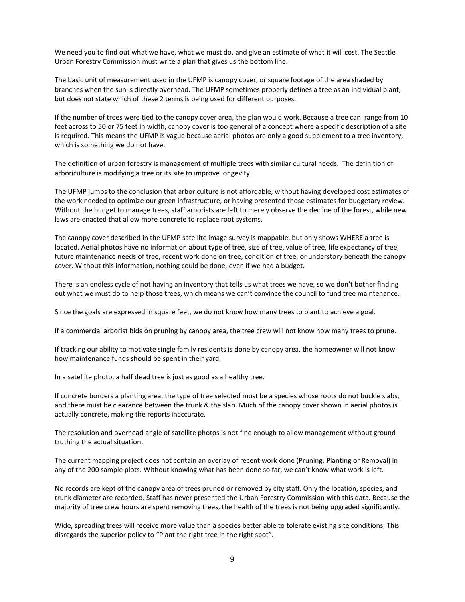We need you to find out what we have, what we must do, and give an estimate of what it will cost. The Seattle Urban Forestry Commission must write a plan that gives us the bottom line.

The basic unit of measurement used in the UFMP is canopy cover, or square footage of the area shaded by branches when the sun is directly overhead. The UFMP sometimes properly defines a tree as an individual plant, but does not state which of these 2 terms is being used for different purposes.

If the number of trees were tied to the canopy cover area, the plan would work. Because a tree can range from 10 feet across to 50 or 75 feet in width, canopy cover is too general of a concept where a specific description of a site is required. This means the UFMP is vague because aerial photos are only a good supplement to a tree inventory, which is something we do not have.

The definition of urban forestry is management of multiple trees with similar cultural needs. The definition of arboriculture is modifying a tree or its site to improve longevity.

The UFMP jumps to the conclusion that arboriculture is not affordable, without having developed cost estimates of the work needed to optimize our green infrastructure, or having presented those estimates for budgetary review. Without the budget to manage trees, staff arborists are left to merely observe the decline of the forest, while new laws are enacted that allow more concrete to replace root systems.

The canopy cover described in the UFMP satellite image survey is mappable, but only shows WHERE a tree is located. Aerial photos have no information about type of tree, size of tree, value of tree, life expectancy of tree, future maintenance needs of tree, recent work done on tree, condition of tree, or understory beneath the canopy cover. Without this information, nothing could be done, even if we had a budget.

There is an endless cycle of not having an inventory that tells us what trees we have, so we don't bother finding out what we must do to help those trees, which means we can't convince the council to fund tree maintenance.

Since the goals are expressed in square feet, we do not know how many trees to plant to achieve a goal.

If a commercial arborist bids on pruning by canopy area, the tree crew will not know how many trees to prune.

If tracking our ability to motivate single family residents is done by canopy area, the homeowner will not know how maintenance funds should be spent in their yard.

In a satellite photo, a half dead tree is just as good as a healthy tree.

If concrete borders a planting area, the type of tree selected must be a species whose roots do not buckle slabs, and there must be clearance between the trunk & the slab. Much of the canopy cover shown in aerial photos is actually concrete, making the reports inaccurate.

The resolution and overhead angle of satellite photos is not fine enough to allow management without ground truthing the actual situation.

The current mapping project does not contain an overlay of recent work done (Pruning, Planting or Removal) in any of the 200 sample plots. Without knowing what has been done so far, we can't know what work is left.

No records are kept of the canopy area of trees pruned or removed by city staff. Only the location, species, and trunk diameter are recorded. Staff has never presented the Urban Forestry Commission with this data. Because the majority of tree crew hours are spent removing trees, the health of the trees is not being upgraded significantly.

Wide, spreading trees will receive more value than a species better able to tolerate existing site conditions. This disregards the superior policy to "Plant the right tree in the right spot".